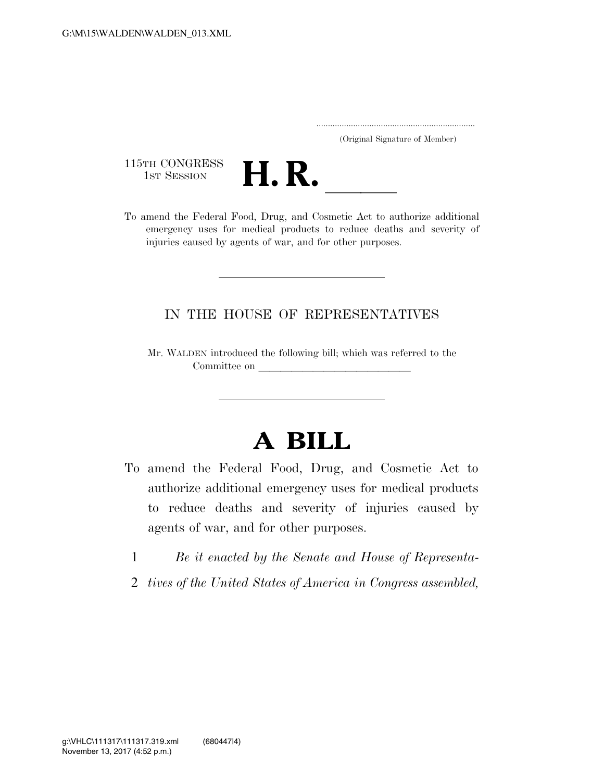..................................................................... (Original Signature of Member)

115TH CONGRESS<br>1st Session



115TH CONGRESS<br>
1ST SESSION<br>
To amend the Federal Food, Drug, and Cosmetic Act to authorize additional emergency uses for medical products to reduce deaths and severity of injuries caused by agents of war, and for other purposes.

## IN THE HOUSE OF REPRESENTATIVES

Mr. WALDEN introduced the following bill; which was referred to the Committee on

## **A BILL**

- To amend the Federal Food, Drug, and Cosmetic Act to authorize additional emergency uses for medical products to reduce deaths and severity of injuries caused by agents of war, and for other purposes.
	- 1 *Be it enacted by the Senate and House of Representa-*
	- 2 *tives of the United States of America in Congress assembled,*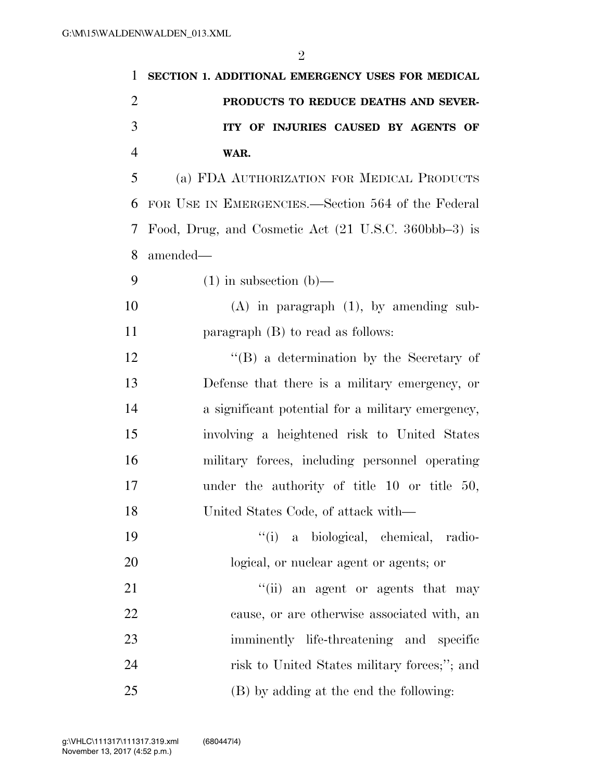| $\mathbf{1}$   | SECTION 1. ADDITIONAL EMERGENCY USES FOR MEDICAL     |
|----------------|------------------------------------------------------|
| $\overline{2}$ | PRODUCTS TO REDUCE DEATHS AND SEVER-                 |
| 3              | ITY OF INJURIES CAUSED BY AGENTS OF                  |
| $\overline{4}$ | WAR.                                                 |
| 5              | (a) FDA AUTHORIZATION FOR MEDICAL PRODUCTS           |
| 6              | FOR USE IN EMERGENCIES.—Section 564 of the Federal   |
| 7              | Food, Drug, and Cosmetic Act (21 U.S.C. 360bbb–3) is |
| 8              | amended—                                             |
| 9              | $(1)$ in subsection $(b)$ —                          |
| 10             | $(A)$ in paragraph $(1)$ , by amending sub-          |
| 11             | paragraph $(B)$ to read as follows:                  |
| 12             | $\lq\lq (B)$ a determination by the Secretary of     |
| 13             | Defense that there is a military emergency, or       |
| 14             | a significant potential for a military emergency,    |
| 15             | involving a heightened risk to United States         |
| 16             | military forces, including personnel operating       |
| 17             | under the authority of title $10$ or title $50$ ,    |
| 18             | United States Code, of attack with—                  |
| 19             | "(i) a biological, chemical, radio-                  |
| 20             | logical, or nuclear agent or agents; or              |
| 21             | "(ii) an agent or agents that may                    |
| 22             | cause, or are otherwise associated with, an          |
| 23             | imminently life-threatening and specific             |
| 24             | risk to United States military forces;"; and         |
| 25             | (B) by adding at the end the following:              |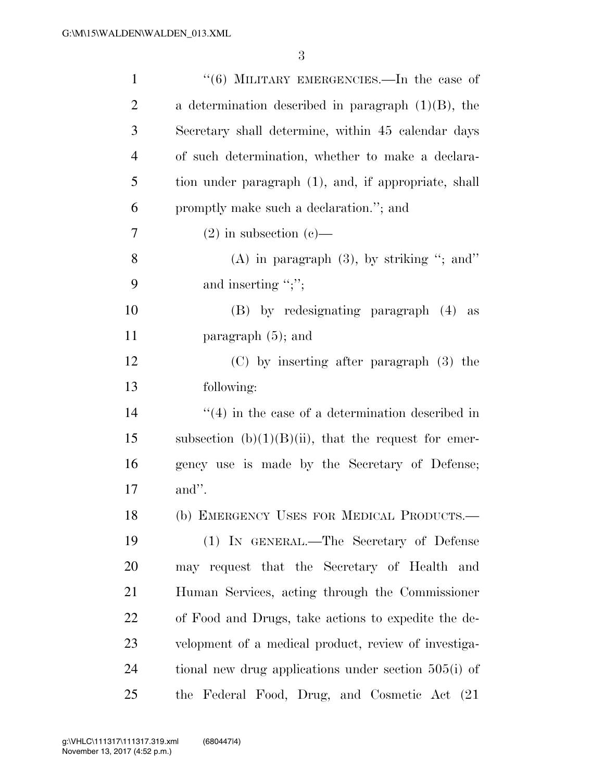| $\mathbf{1}$   | $(6)$ MILITARY EMERGENCIES.—In the case of                       |
|----------------|------------------------------------------------------------------|
| $\overline{2}$ | a determination described in paragraph $(1)(B)$ , the            |
| 3              | Secretary shall determine, within 45 calendar days               |
| $\overline{4}$ | of such determination, whether to make a declara-                |
| 5              | tion under paragraph (1), and, if appropriate, shall             |
| 6              | promptly make such a declaration."; and                          |
| 7              | $(2)$ in subsection $(e)$ —                                      |
| 8              | (A) in paragraph $(3)$ , by striking "; and"                     |
| 9              | and inserting ";";                                               |
| 10             | (B) by redesignating paragraph (4) as                            |
| 11             | paragraph $(5)$ ; and                                            |
| 12             | (C) by inserting after paragraph (3) the                         |
| 13             | following:                                                       |
| 14             | $\cdot\cdot\cdot(4)$ in the case of a determination described in |
| 15             | subsection $(b)(1)(B)(ii)$ , that the request for emer-          |
| 16             | gency use is made by the Secretary of Defense;                   |
| 17             | and".                                                            |
| 18             | (b) EMERGENCY USES FOR MEDICAL PRODUCTS.-                        |
| 19             | (1) IN GENERAL.—The Secretary of Defense                         |
| 20             | may request that the Secretary of Health and                     |
| 21             | Human Services, acting through the Commissioner                  |
| 22             | of Food and Drugs, take actions to expedite the de-              |
| 23             | velopment of a medical product, review of investiga-             |
| 24             | tional new drug applications under section $505(i)$ of           |
| 25             | the Federal Food, Drug, and Cosmetic Act (21)                    |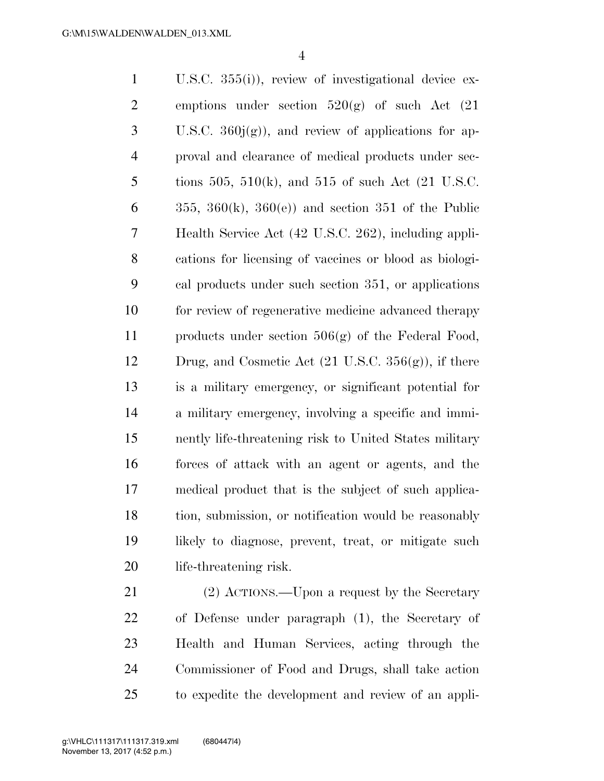U.S.C. 355(i)), review of investigational device ex-2 emptions under section  $520(g)$  of such Act  $(21)$  $3 \text{ U.S.C. } 360j(g)$ , and review of applications for ap- proval and clearance of medical products under sec-5 tions 505, 510(k), and 515 of such Act  $(21 \text{ U.S.C.})$  $355, 360(k), 360(e)$  and section 351 of the Public Health Service Act (42 U.S.C. 262), including appli- cations for licensing of vaccines or blood as biologi- cal products under such section 351, or applications for review of regenerative medicine advanced therapy products under section 506(g) of the Federal Food, Drug, and Cosmetic Act (21 U.S.C. 356(g)), if there is a military emergency, or significant potential for a military emergency, involving a specific and immi- nently life-threatening risk to United States military forces of attack with an agent or agents, and the medical product that is the subject of such applica- tion, submission, or notification would be reasonably likely to diagnose, prevent, treat, or mitigate such life-threatening risk.

 (2) ACTIONS.—Upon a request by the Secretary of Defense under paragraph (1), the Secretary of Health and Human Services, acting through the Commissioner of Food and Drugs, shall take action to expedite the development and review of an appli-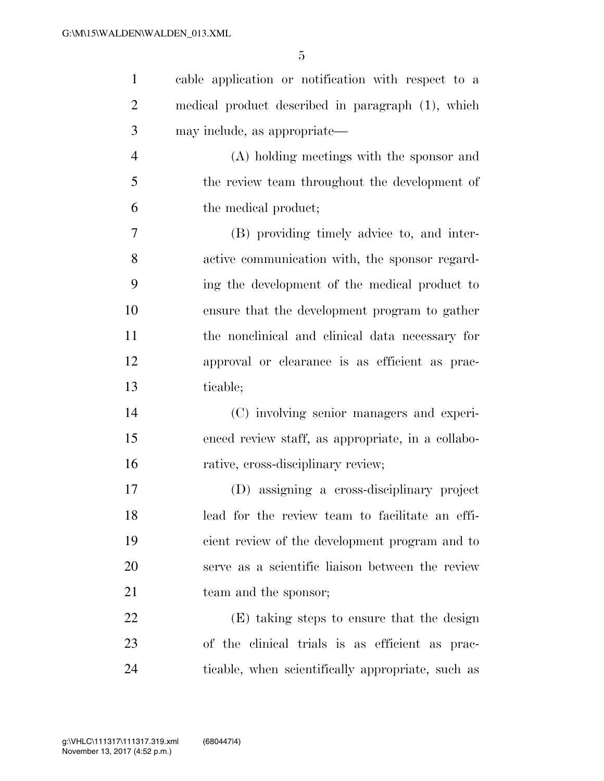| $\mathbf{1}$   | cable application or notification with respect to a |
|----------------|-----------------------------------------------------|
| $\overline{2}$ | medical product described in paragraph (1), which   |
| 3              | may include, as appropriate—                        |
| $\overline{4}$ | (A) holding meetings with the sponsor and           |
| 5              | the review team throughout the development of       |
| 6              | the medical product;                                |
| 7              | (B) providing timely advice to, and inter-          |
| 8              | active communication with, the sponsor regard-      |
| 9              | ing the development of the medical product to       |
| 10             | ensure that the development program to gather       |
| 11             | the nonclinical and clinical data necessary for     |
| 12             | approval or clearance is as efficient as prac-      |
| 13             | ticable;                                            |
| 14             | (C) involving senior managers and experi-           |
| 15             | enced review staff, as appropriate, in a collabo-   |
| 16             | rative, cross-disciplinary review;                  |
| 17             | (D) assigning a cross-disciplinary project          |
| 18             | lead for the review team to facilitate an effi-     |
| 19             | cient review of the development program and to      |
| 20             | serve as a scientific liaison between the review    |
| 21             | team and the sponsor;                               |
| 22             | (E) taking steps to ensure that the design          |
| 23             | of the clinical trials is as efficient as prac-     |
| 24             | ticable, when scientifically appropriate, such as   |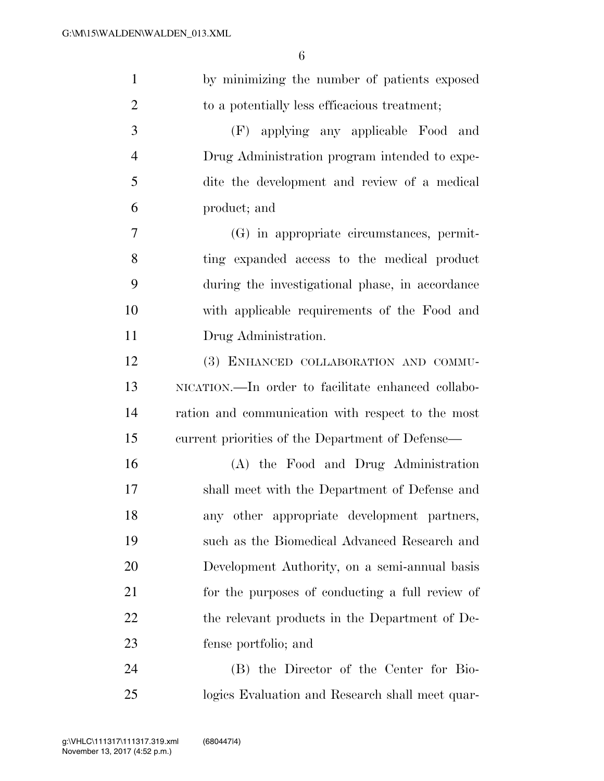| $\mathbf{1}$   | by minimizing the number of patients exposed       |
|----------------|----------------------------------------------------|
| $\overline{2}$ | to a potentially less efficacious treatment;       |
| 3              | (F) applying any applicable Food and               |
| $\overline{4}$ | Drug Administration program intended to expe-      |
| 5              | dite the development and review of a medical       |
| 6              | product; and                                       |
| $\overline{7}$ | (G) in appropriate circumstances, permit-          |
| 8              | ting expanded access to the medical product        |
| 9              | during the investigational phase, in accordance    |
| 10             | with applicable requirements of the Food and       |
| 11             | Drug Administration.                               |
| 12             | (3) ENHANCED COLLABORATION AND COMMU-              |
| 13             | NICATION.—In order to facilitate enhanced collabo- |
| 14             | ration and communication with respect to the most  |
| 15             | current priorities of the Department of Defense—   |
| 16             | (A) the Food and Drug Administration               |
| 17             | shall meet with the Department of Defense and      |
| 18             | any other appropriate development partners,        |
| 19             | such as the Biomedical Advanced Research and       |
| 20             | Development Authority, on a semi-annual basis      |
| 21             | for the purposes of conducting a full review of    |
| 22             | the relevant products in the Department of De-     |
| 23             | fense portfolio; and                               |
| 24             | (B) the Director of the Center for Bio-            |
| 25             | logics Evaluation and Research shall meet quar-    |